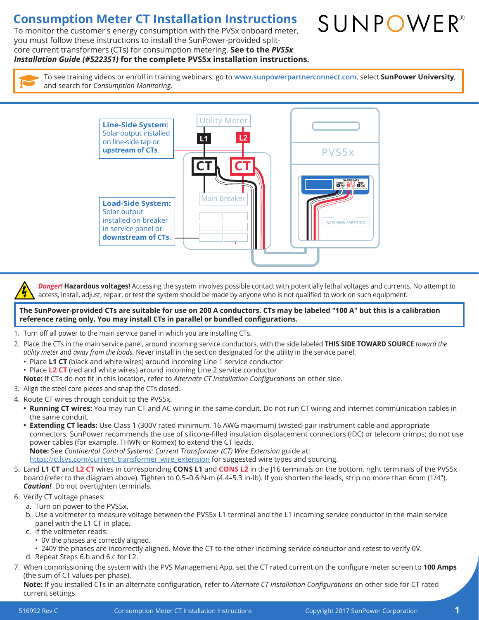## **Consumption Meter CT Installation Instructions**

To monitor the customer's energy consumption with the PVSx onboard meter, you must follow these instructions to install the SunPower-provided splitcore current transformers (CTs) for consumption metering. **See to the** *PVS5x Installation Guide (#522351)* **for the complete PVS5x installation instructions.**

SUNPOWER®

To see training videos or enroll in training webinars: go to **www.sunpowerpartnerconnect.com**, select **SunPower University**, and search for *Consumption Monitoring*.



*Danger!* **Hazardous voltages!** Accessing the system involves possible contact with potentially lethal voltages and currents. No attempt to access, install, adjust, repair, or test the system should be made by anyone who is not qualified to work on such equipment.

**The SunPower-provided CTs are suitable for use on 200 A conductors. CTs may be labeled "100 A" but this is a calibration reference rating only. You may install CTs in parallel or bundled configurations.**

- 1. Turn off all power to the main service panel in which you are installing CTs.
- 2. Place the CTs in the main service panel, around incoming service conductors, with the side labeled **THIS SIDE TOWARD SOURCE** *toward the utility meter* and *away from the loads.* Never install in the section designated for the utility in the service panel.
	- Place **L1 CT** (black and white wires) around incoming Line 1 service conductor
	- Place **L2 CT** (red and white wires) around incoming Line 2 service conductor
	- **Note:** If CTs do not fit in this location, refer to *Alternate CT Installation Configurations* on other side.
- 3. Align the steel core pieces and snap the CTs closed.
- 4. Route CT wires through conduit to the PVS5x.
	- **• Running CT wires:** You may run CT and AC wiring in the same conduit. Do not run CT wiring and internet communication cables in the same conduit.
	- **• Extending CT leads:** Use Class 1 (300V rated minimum, 16 AWG maximum) twisted-pair instrument cable and appropriate connectors; SunPower recommends the use of silicone-filled insulation displacement connectors (IDC) or telecom crimps; do not use power cables (for example, THWN or Romex) to extend the CT leads. **Note:** See *Continental Control Systems: Current Transformer (CT) Wire Extension* guide at:
	- https://ctlsys.com/current\_transformer\_wire\_extension for suggested wire types and sourcing.
- 5. Land **L1 CT** and **L2 CT** wires in corresponding **CONS L1** and **CONS L2** in the J16 terminals on the bottom, right terminals of the PVS5x board (refer to the diagram above). Tighten to 0.5–0.6 N-m (4.4–5.3 in-lb). If you shorten the leads, strip no more than 6mm (1/4"). *Caution!* Do not overtighten terminals.
- 6. Verify CT voltage phases:
	- a. Turn on power to the PVS5x.
	- b. Use a voltmeter to measure voltage between the PVS5x L1 terminal and the L1 incoming service conductor in the main service panel with the L1 CT in place.
	- c. If the voltmeter reads:
		- 0V the phases are correctly aligned.
		- 240V the phases are incorrectly aligned. Move the CT to the other incoming service conductor and retest to verify 0V.
	- d. Repeat Steps 6.b and 6.c for L2.
- 7. When commissioning the system with the PVS Management App, set the CT rated current on the configure meter screen to **100 Amps** (the sum of CT values per phase).

**Note:** If you installed CTs in an alternate configuration, refer to *Alternate CT Installation Configurations* on other side for CT rated current settings.